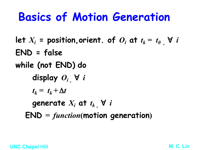### **Basics of Motion Generation**

let  $X_i$  = position,orient. of  $O_i$  at  $t_k = t_0$ ,  $\forall i$ **END = false while (not END)****do display**  $O_i$   $\forall i$  $t_k = t_k + \Delta t$ generate  $X_i$  at  $t_k$  ,  $\forall$   $i$  $END = function(motion$  generation)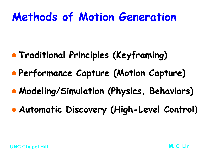### **Methods of Motion Generation**

- **Traditional Principles (Keyframing)**
- **Performance Capture (Motion Capture)**
- l **Modeling/Simulation (Physics, Behaviors)**
- **Automatic Discovery (High-Level Control)**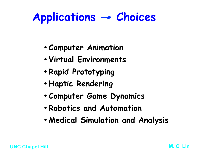### **Applications** → **Choices**

- **Computer Animation**
- **Virtual Environments**
- **Rapid Prototyping**
- **Haptic Rendering**
- **Computer Game Dynamics**
- **Robotics and Automation**
- **Medical Simulation and Analysis**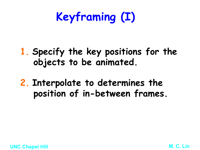## **Keyframing (I)**

- **1. Specify the key positions for the objects to be animated.**
- **2. Interpolate to determines the position of in-between frames.**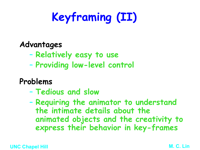## **Keyframing (II)**

#### **Advantages**

- **Relatively easy to use**
- **Providing low-level control**

### **Problems**

– **Tedious and slow** 

– **Requiring the animator to understand the intimate details about the animated objects and the creativity to express their behavior in key-frames**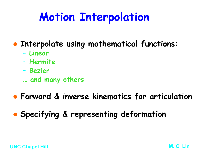## **Motion Interpolation**

- **Interpolate using mathematical functions:** 
	- **Linear**
	- **Hermite**
	- **Bezier**
	- **… and many others**
- **Forward & inverse kinematics for articulation**
- **Specifying & representing deformation**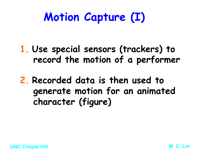## **Motion Capture (I)**

**1. Use special sensors (trackers) to record the motion of a performer** 

**2. Recorded data is then used to generate motion for an animated character (figure)**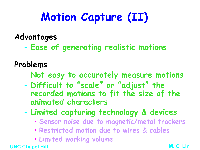## **Motion Capture (II)**

#### **Advantages**

– **Ease of generating realistic motions** 

#### **Problems**

- **Not easy to accurately measure motions**
- **Difficult to** "**scale**"  **or**  "**adjust**" **the recorded motions to fit the size of the animated characters**
- **Limited capturing technology & devices** 
	- **Sensor noise due to magnetic/metal trackers**
	- **Restricted motion due to wires & cables**
	- **Limited working volume**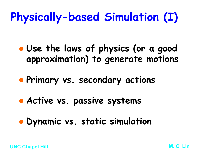## **Physically-based Simulation (I)**

- **. Use the laws of physics (or a good approximation) to generate motions**
- l **Primary vs. secondary actions**
- **Active vs. passive systems**
- **Dynamic vs. static simulation**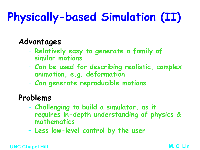# **Physically-based Simulation (II)**

### **Advantages**

- **Relatively easy to generate a family of similar motions**
- **Can be used for describing realistic, complex animation, e.g. deformation**
- **Can generate reproducible motions**

#### **Problems**

- **Challenging to build a simulator, as it requires in-depth understanding of physics & mathematics**
- **Less low-level control by the user**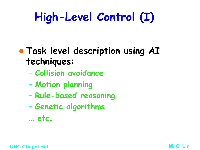## **High-Level Control (I)**

- **Task level description using AI techniques:** 
	- **Collision avoidance**
	- **Motion planning**
	- **Rule-based reasoning**
	- **Genetic algorithms**
	- **… etc.**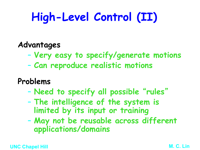## **High-Level Control (II)**

#### **Advantages**

- **Very easy to specify/generate motions**
- **Can reproduce realistic motions**

#### **Problems**

- **Need to specify all possible** "**rules**"
- **The intelligence of the system is limited by its input or training**
- **May not be reusable across different applications/domains**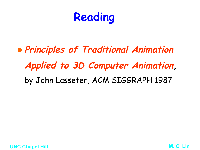

**Applied to 3D Computer Animation,** 

by John Lasseter, ACM SIGGRAPH 1987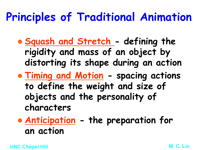- l **Squash and Stretch defining the rigidity and mass of an object by distorting its shape during an action**
- l **Timing and Motion spacing actions to define the weight and size of objects and the personality of characters**

**• Anticipation - the preparation for an action**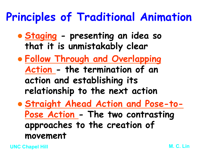- l **Staging presenting an idea so that it is unmistakably clear**
- l **Follow Through and Overlapping Action - the termination of an action and establishing its relationship to the next action**
- l **Straight Ahead Action and Pose-to-Pose Action - The two contrasting approaches to the creation of movement**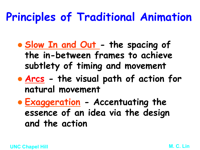- Slow In and Out the spacing of **the in-between frames to achieve subtlety of timing and movement**
- **Arcs** the visual path of action for **natural movement**
- l **Exaggeration Accentuating the essence of an idea via the design and the action**